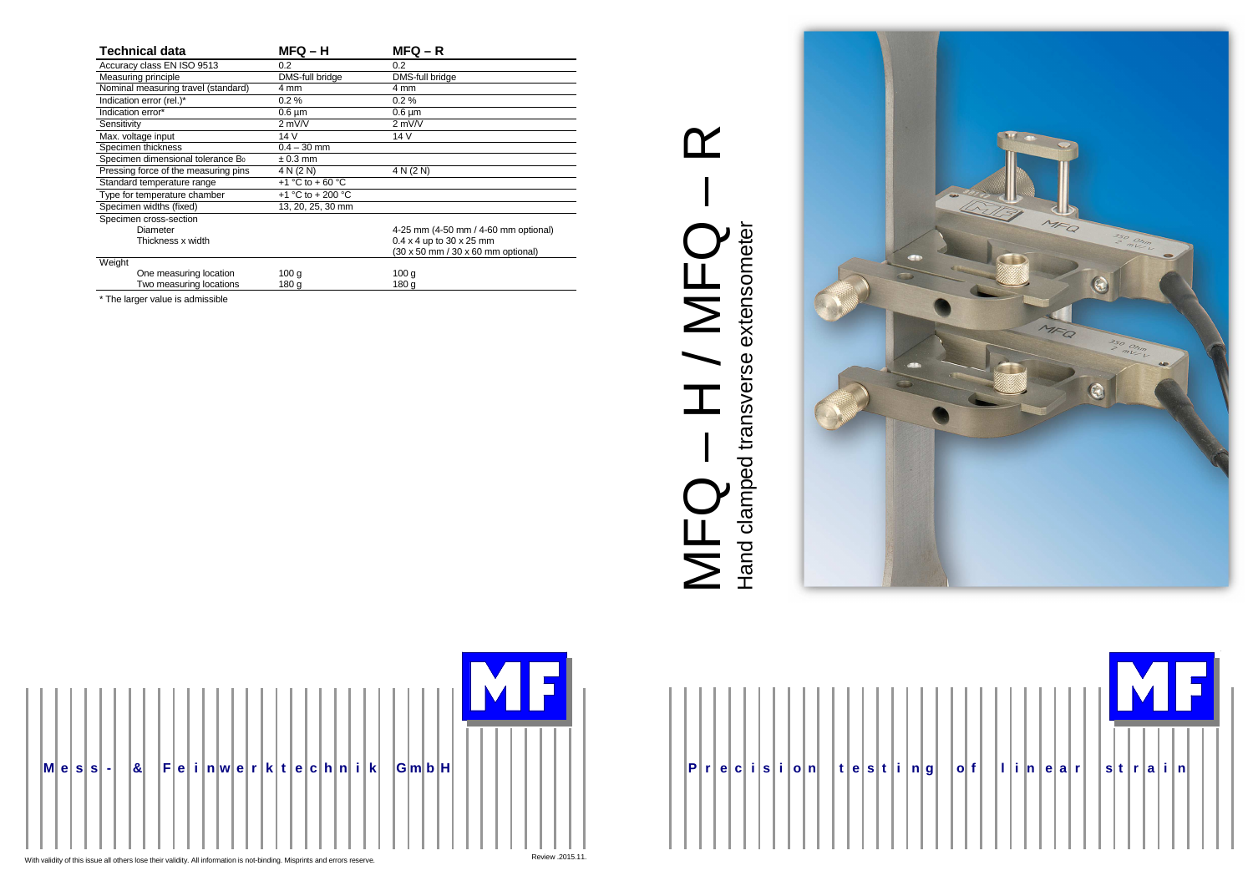







# MFQ – R<br>MFQ – R  $\alpha$ T  $MFG - H/MFG$ Hand clamped transverse extensometer

| <b>Technical data</b>                         | $MFQ - H$         | $MFQ - R$                              |  |  |
|-----------------------------------------------|-------------------|----------------------------------------|--|--|
| Accuracy class EN ISO 9513                    | 0.2               | 0.2                                    |  |  |
| Measuring principle                           | DMS-full bridge   | DMS-full bridge                        |  |  |
| Nominal measuring travel (standard)           | 4 mm              | 4 mm                                   |  |  |
| Indication error (rel.)*                      | $0.2\%$           | $0.2 \%$                               |  |  |
| Indication error*                             | $0.6 \mu m$       | $0.6 \mu m$                            |  |  |
| Sensitivity                                   | $2$ mV/V          | $2$ mV/V                               |  |  |
| Max. voltage input                            | 14 V              | 14 V                                   |  |  |
| Specimen thickness                            | $0.4 - 30$ mm     |                                        |  |  |
| Specimen dimensional tolerance B <sub>0</sub> | $\pm 0.3$ mm      |                                        |  |  |
| Pressing force of the measuring pins          | 4 N (2 N)         | 4 N (2 N)                              |  |  |
| Standard temperature range                    | +1 °C to + 60 °C  |                                        |  |  |
| Type for temperature chamber                  | +1 °C to + 200 °C |                                        |  |  |
| Specimen widths (fixed)                       | 13, 20, 25, 30 mm |                                        |  |  |
| Specimen cross-section                        |                   |                                        |  |  |
| Diameter                                      |                   | 4-25 mm (4-50 mm / 4-60 mm optional)   |  |  |
| Thickness x width                             |                   | $0.4 \times 4$ up to 30 $\times$ 25 mm |  |  |
|                                               |                   | (30 x 50 mm / 30 x 60 mm optional)     |  |  |
| Weight                                        |                   |                                        |  |  |
| One measuring location                        | 100 <sub>g</sub>  | 100 <sub>g</sub>                       |  |  |
| Two measuring locations                       | 180 a             | 180 a                                  |  |  |

\* The larger value is admissible